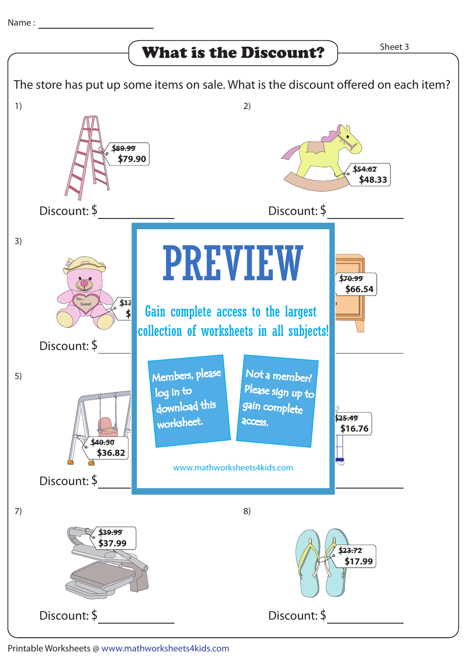The store has put up some items on sale. What is the discount offered on each item? What is the Discount? Manuscripting Sheet 3 1) Discount: S 2) Discount: S 3) Discount: S 4) PREVIEW 5) Discount: \$ 6) Not a member? 7) Discount: S 8) Discount: S **S54.62 S48.33 S70.99 S66.54 S25.49 S16.76 S23.72 S17.99 S89.99 S79.90 S40.50 S36.82 S39.99 S37.99 S13.62 S Gain complete access to the largest** Soooo Sweet www.mathworksheets4kids.com Members, please download this worksheet. log in to gain complete Please sign up to access. collection of worksheets in all subjects!

Printable Worksheets @ www.mathworksheets4kids.com